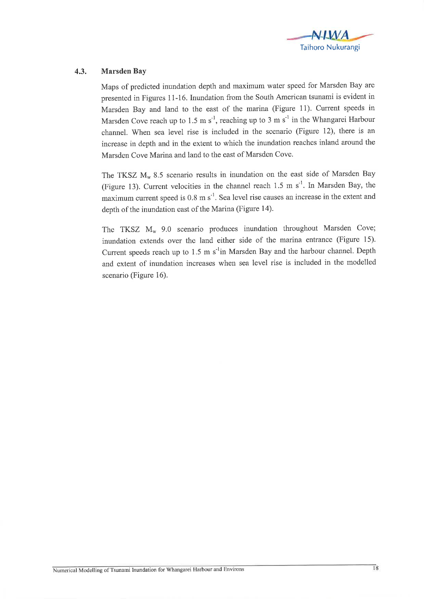

## 4.3. Marsden Bay

Maps of predicted inundation depth and maximum water speed for Marsden Bay are presented in Figures 11-16. Inundation from the South American tsunami is evident in Marsden Bay and land to the east of the marina (Figure 11). Current speeds in Marsden Cove reach up to 1.5 m s<sup>-1</sup>, reaching up to 3 m s<sup>-1</sup> in the Whangarei Harbour channel. When sea level rise is included in the scenario (Figure 12), there is an increase in depth and in the extent to which the inundation reaches inland around the Marsden Cove Marina and land to the east of Marsden Cove.

The TKSZ  $M_w$  8.5 scenario results in inundation on the east side of Marsden Bay (Figure 13). Current velocities in the channel reach 1.5 m  $s^{-1}$ . In Marsden Bay, the maximum current speed is  $0.8 \text{ m s}^{-1}$ . Sea level rise causes an increase in the extent and depth of the inundation east of the Marina (Figure 14).

The TKSZ  $M_w$  9.0 scenario produces inundation throughout Marsden Cove; inundation extends over the land either side of the marina entrance (Figure 15). Current speeds reach up to  $1.5 \text{ m s}^{-1}$ in Marsden Bay and the harbour channel. Depth and extent of inundation increases when sea level rise is included in the modelled scenario (Figure 16).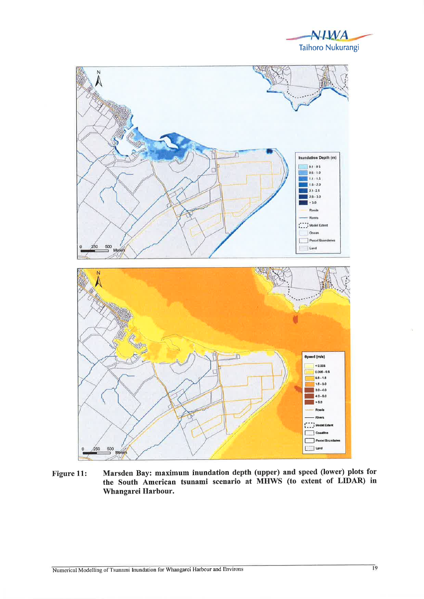



Marsden Bay: maximum inundation depth (upper) and speed (lower) plots for Figure 11: the South American tsunami scenario at MHWS (to extent of LIDAR) in Whangarei Harbour.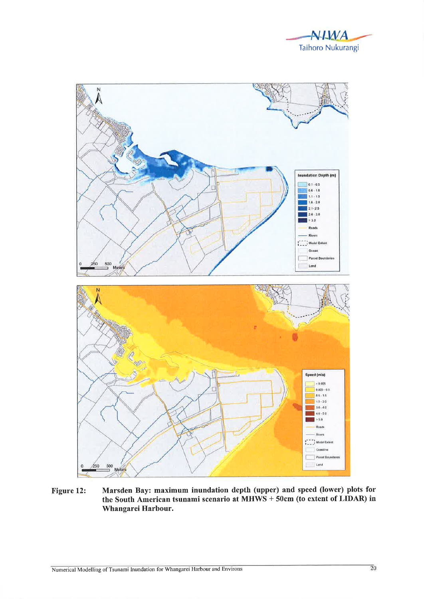



Figure 12: Marsden Bay: maximum inundation depth (upper) and speed (lower) plots for the South American tsunami scenario at MHWS + 50cm (to extent of LIDAR) in Whangarei Harbour.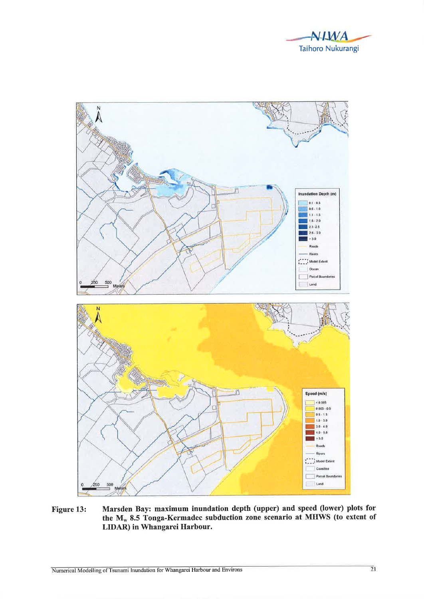



Figure 13: Marsden Bay: maximum inundation depth (upper) and speed (lower) plots for the  $M_w$  8.5 Tonga-Kermadec subduction zone scenario at MHWS (to extent of LIDAR) in Whangarei Harbour.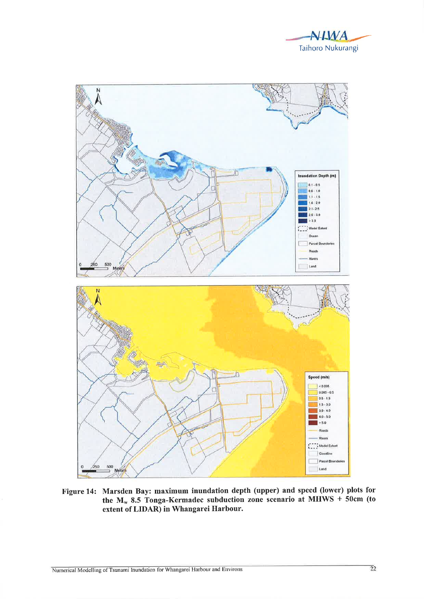



Figure 14: Marsden Bay: maximum inundation depth (upper) and speed (lower) plots for<br>the  $M_w$  8.5 Tonga-Kermadec subduction zone scenario at MHWS + 50cm (to extent of LIDAR) in Whangarei Harbour.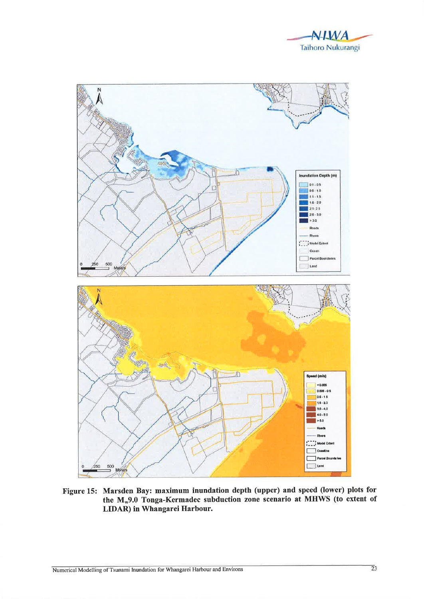



Figure 15: Marsden Bay: maximum inundation depth (upper) and speed (lower) plots for the M<sub>w</sub>9.0 Tonga-Kermadec subduction zone scenario at MHWS (to extent of LIDAR) in Whangarei Harbour.